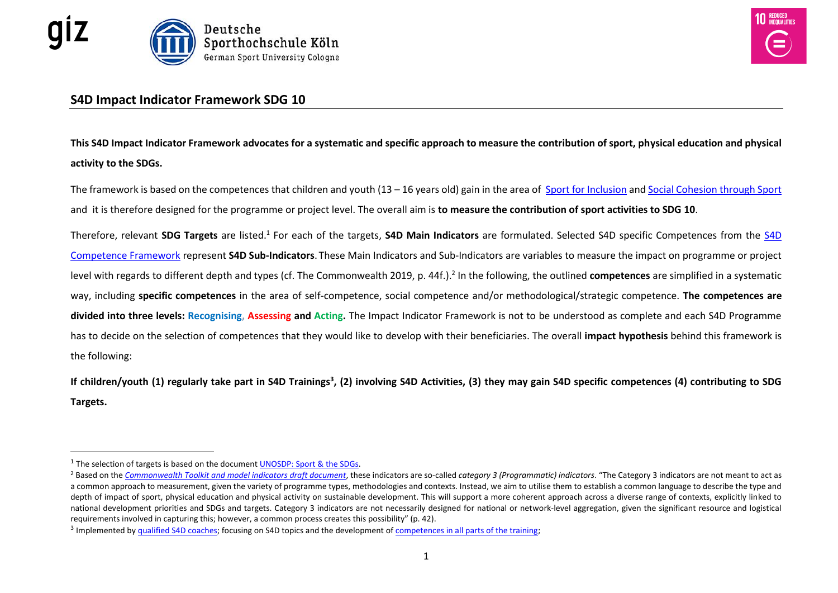



## **S4D Impact Indicator Framework SDG 10**

**This S4D Impact Indicator Framework advocates for a systematic and specific approach to measure the contribution of sport, physical education and physical activity to the SDGs.** 

The framework is based on the competences that children and youth (13 – 16 years old) gain in the area of [Sport for Inclusion](https://www.sport-for-development.com/topic-collection?id=19#cat19) and [Social Cohesion through Sport](https://www.sport-for-development.com/topic-collection?id=19#cat19)  and it is therefore designed for the programme or project level. The overall aim is **to measure the contribution of sport activities to SDG 10**.

Therefore, relevant SDG Targets are listed.<sup>1</sup> For each of the targets, [S4D](https://www.sport-for-development.com/imglib/downloads/Kompetenzen%20&%20IIFs/Competences%20Children%20&%20Youth%20FRENCH/ENGLISH/giz-dshs2022-en-sdg10-competences-children-and-youth-social-cohesion-and-inclusion.pdf) Main Indicators are formulated. Selected S4D specific Competences from the S4D [Competence Framework](https://www.sport-for-development.com/imglib/downloads/Kompetenzen%20&%20IIFs/Competences%20Children%20&%20Youth%20FRENCH/ENGLISH/giz-dshs2022-en-sdg10-competences-children-and-youth-social-cohesion-and-inclusion.pdf) represent **S4D Sub-Indicators**. These Main Indicators and Sub-Indicators are variables to measure the impact on programme or project level with regards to different depth and types (cf. The Commonwealth 2019, p. 44f.).<sup>2</sup> In the following, the outlined **competences** are simplified in a systematic way, including **specific competences** in the area of self-competence, social competence and/or methodological/strategic competence. **The competences are divided into three levels: Recognising, Assessing and Acting.** The Impact Indicator Framework is not to be understood as complete and each S4D Programme has to decide on the selection of competences that they would like to develop with their beneficiaries. The overall **impact hypothesis** behind this framework is the following:

If children/youth (1) regularly take part in S4D Trainings<sup>3</sup>, (2) involving S4D Activities, (3) they may gain S4D specific competences (4) contributing to SDG **Targets.** 

 $\overline{a}$ 

<sup>&</sup>lt;sup>1</sup> The selection of targets is based on the document **[UNOSDP: Sport & the](https://www.sport-for-development.com/imglib/downloads/unosdp2014-sport-and-the-sustainable-development-goals.pdf) SDGs**.

<sup>2</sup> Based on the *[Commonwealth Toolkit and model indicators draft document](https://www.sport-for-development.com/imglib/downloads/Publications/commonwealth-2019-en-sport-sdgs-indicator-framework.pdf)*, these indicators are so-called *category 3 (Programmatic) indicators*. "The Category 3 indicators are not meant to act as a common approach to measurement, given the variety of programme types, methodologies and contexts. Instead, we aim to utilise them to establish a common language to describe the type and depth of impact of sport, physical education and physical activity on sustainable development. This will support a more coherent approach across a diverse range of contexts, explicitly linked to national development priorities and SDGs and targets. Category 3 indicators are not necessarily designed for national or network-level aggregation, given the significant resource and logistical requirements involved in capturing this; however, a common process creates this possibility" (p. 42).

<sup>&</sup>lt;sup>3</sup> Implemented b[y qualified S4D coaches;](https://www.sport-for-development.com/essentials?id=3#cat3) focusing on S4D topics and the development o[f competences in all parts of the training;](https://www.sport-for-development.com/imglib/downloads/Guidelines/giz-dshs2021-en-s4d-training-session-cycle.pdf)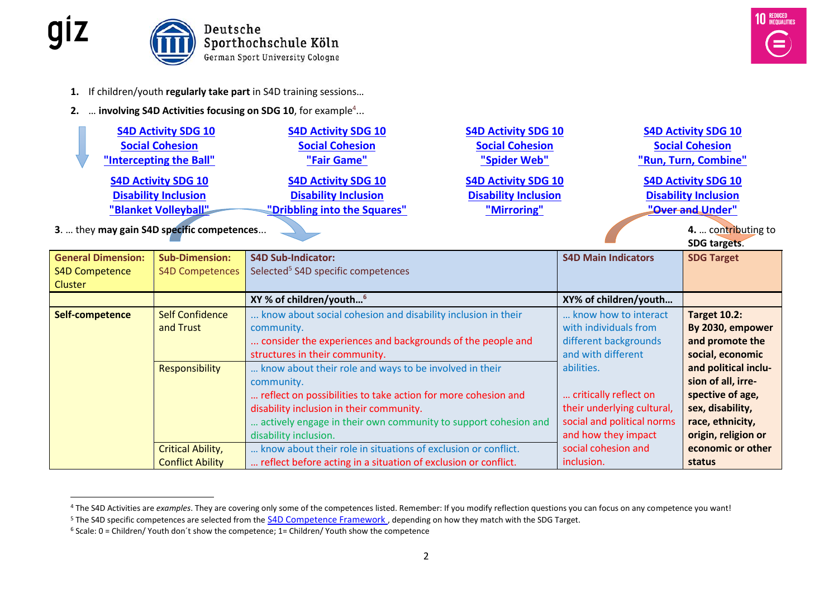



- **1.** If children/youth **regularly take part** in S4D training sessions…
- **2.** ... **involving S4D Activities focusing on SDG 10**, for example<sup>4</sup>...

|                                                      | <b>S4D Activity SDG 10</b>                 | <b>S4D Activity SDG 10</b>          | <b>S4D Activity SDG 10</b>  | <b>S4D Activity SDG 10</b>  |  |
|------------------------------------------------------|--------------------------------------------|-------------------------------------|-----------------------------|-----------------------------|--|
|                                                      | <b>Social Cohesion</b>                     | <b>Social Cohesion</b>              | <b>Social Cohesion</b>      | <b>Social Cohesion</b>      |  |
|                                                      | "Intercepting the Ball"                    | "Fair Game"                         | "Spider Web"                | "Run, Turn, Combine"        |  |
|                                                      | <b>S4D Activity SDG 10</b>                 | <b>S4D Activity SDG 10</b>          | <b>S4D Activity SDG 10</b>  | <b>S4D Activity SDG 10</b>  |  |
|                                                      | <b>Disability Inclusion</b>                | <b>Disability Inclusion</b>         | <b>Disability Inclusion</b> | <b>Disability Inclusion</b> |  |
| "Dribbling into the Squares"<br>"Blanket Volleyball" |                                            |                                     | "Mirroring"                 | "Over and Under"            |  |
|                                                      | 3.  they may gain S4D specific competences | 4.  contributing to<br>SDG targets. |                             |                             |  |
|                                                      |                                            |                                     |                             |                             |  |

| <b>General Dimension:</b> | <b>Sub-Dimension:</b>                                         | <b>S4D Sub-Indicator:</b>                                      | <b>S4D Main Indicators</b> | <b>SDG Target</b>    |
|---------------------------|---------------------------------------------------------------|----------------------------------------------------------------|----------------------------|----------------------|
| <b>S4D Competence</b>     | <b>S4D Competences</b>                                        | Selected <sup>5</sup> S4D specific competences                 |                            |                      |
| Cluster                   |                                                               |                                                                |                            |                      |
|                           |                                                               | XY % of children/youth <sup>6</sup>                            | XY% of children/youth      |                      |
| Self-competence           | <b>Self Confidence</b>                                        | know about social cohesion and disability inclusion in their   | know how to interact       | <b>Target 10.2:</b>  |
|                           | and Trust                                                     | community.                                                     | with individuals from      | By 2030, empower     |
|                           |                                                               | consider the experiences and backgrounds of the people and     | different backgrounds      | and promote the      |
|                           |                                                               | structures in their community.                                 | and with different         | social, economic     |
|                           | Responsibility                                                | know about their role and ways to be involved in their         | abilities.                 | and political inclu- |
|                           |                                                               | community.                                                     |                            | sion of all, irre-   |
|                           | reflect on possibilities to take action for more cohesion and |                                                                | critically reflect on      | spective of age,     |
|                           |                                                               | disability inclusion in their community.                       | their underlying cultural, | sex, disability,     |
|                           |                                                               | actively engage in their own community to support cohesion and | social and political norms | race, ethnicity,     |
|                           |                                                               | disability inclusion.                                          | and how they impact        | origin, religion or  |
|                           | <b>Critical Ability,</b>                                      | know about their role in situations of exclusion or conflict.  | social cohesion and        | economic or other    |
|                           | <b>Conflict Ability</b>                                       | reflect before acting in a situation of exclusion or conflict. | inclusion.                 | status               |

 $\overline{a}$ 

<sup>&</sup>lt;sup>4</sup> The S4D Activities are *examples*. They are covering only some of the competences listed. Remember: If you modify reflection questions you can focus on any competence you want!

<sup>&</sup>lt;sup>5</sup> The S4D specific competences are selected from the S4D Competence Framework, depending on how they match with the SDG Target.

 $6$  Scale: 0 = Children/Youth don't show the competence; 1= Children/Youth show the competence